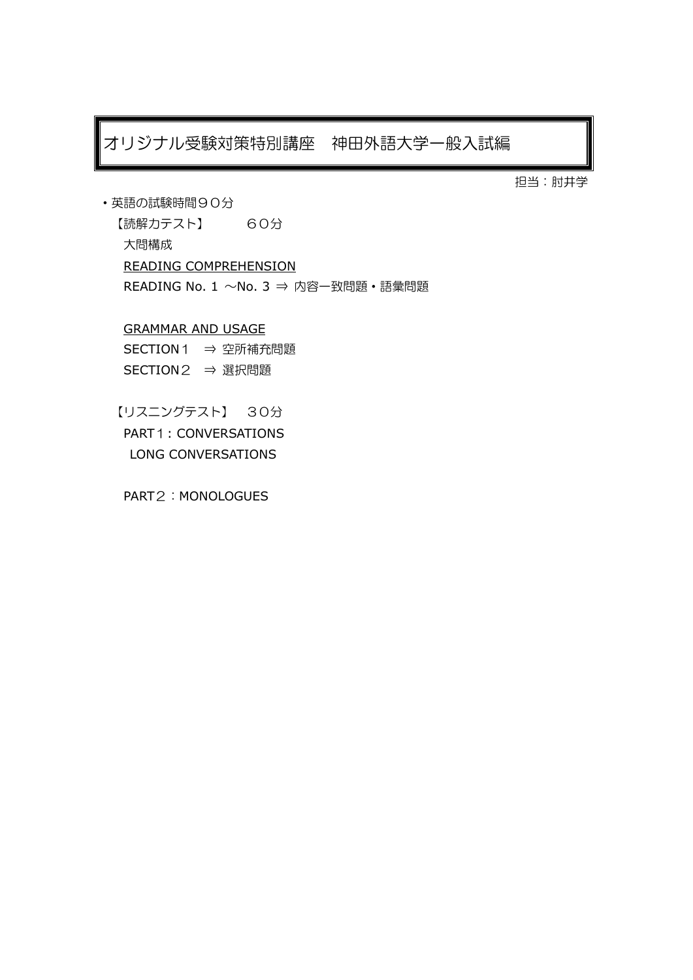## オリジナル受験対策特別講座 神田外語大学一般入試編

担当:肘井学

- ・英語の試験時間90分 【読解力テスト】 60分 大問構成 READING COMPREHENSION READING No. 1 ~No. 3 ⇒ 内容一致問題・語彙問題
	- GRAMMAR AND USAGE SECTION1 ⇒ 空所補充問題 SECTION2 ⇒ 選択問題
	- 【リスニングテスト】 30分 PART1: CONVERSATIONS LONG CONVERSATIONS

PART2: MONOLOGUES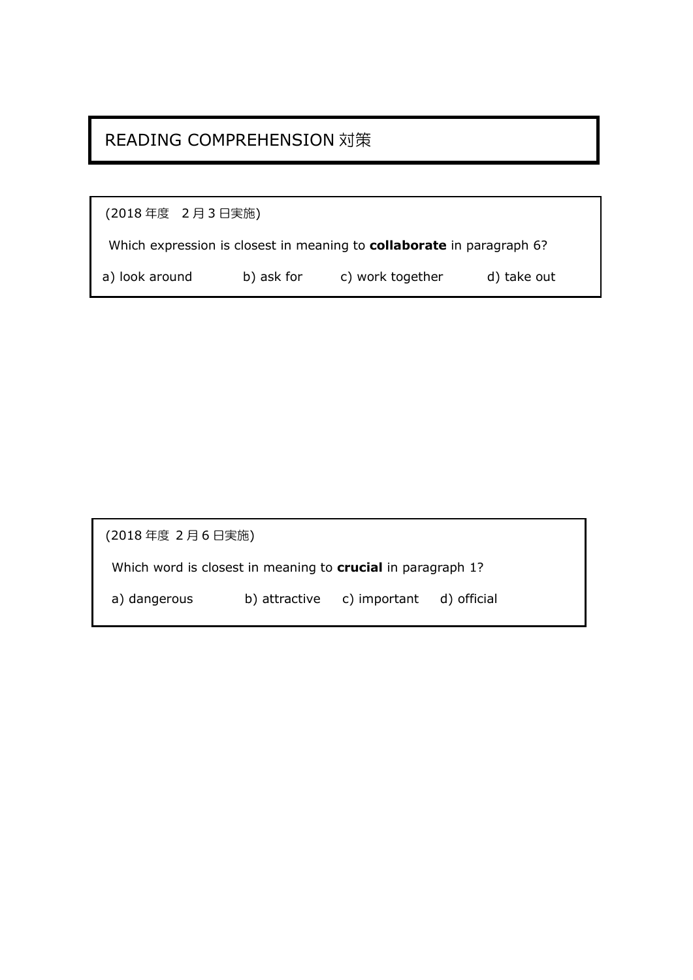# READING COMPREHENSION 対策

| (2018年度 2月3日実施)                                                              |            |                  |             |  |  |
|------------------------------------------------------------------------------|------------|------------------|-------------|--|--|
| Which expression is closest in meaning to <b>collaborate</b> in paragraph 6? |            |                  |             |  |  |
| a) look around                                                               | b) ask for | c) work together | d) take out |  |  |

| (2018年度 2月6日実施)                                                    |                                        |  |
|--------------------------------------------------------------------|----------------------------------------|--|
| Which word is closest in meaning to <b>crucial</b> in paragraph 1? |                                        |  |
| a) dangerous                                                       | b) attractive c) important d) official |  |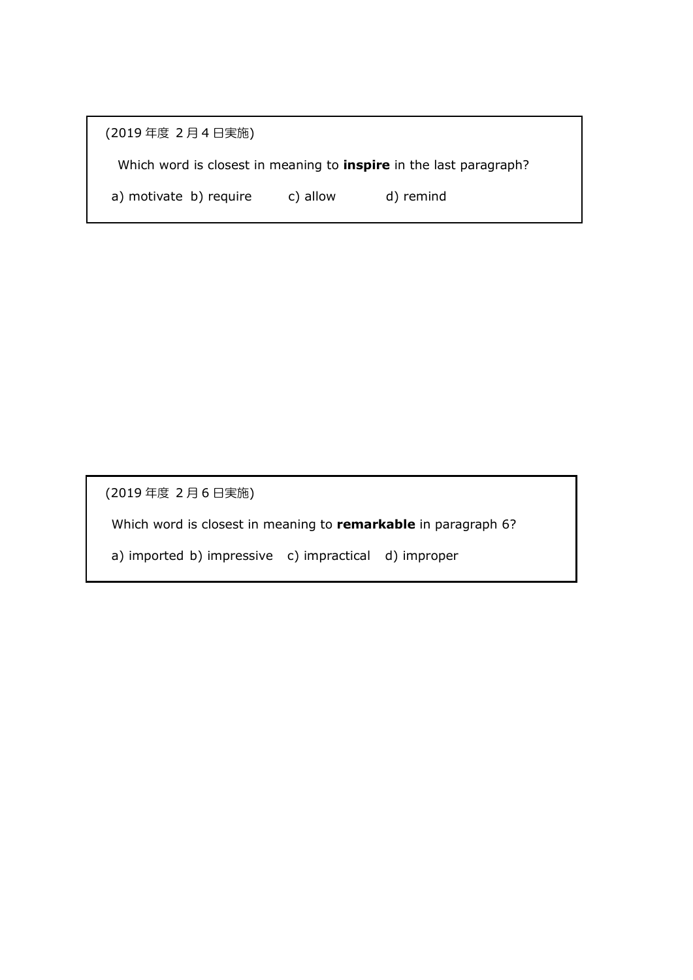| (2019年度 2月4日実施)                                                           |          |           |
|---------------------------------------------------------------------------|----------|-----------|
| Which word is closest in meaning to <b>inspire</b> in the last paragraph? |          |           |
| a) motivate b) require                                                    | c) allow | d) remind |

(2019 年度 2 月 6 日実施)

Which word is closest in meaning to **remarkable** in paragraph 6?

a) imported b) impressive c) impractical d) improper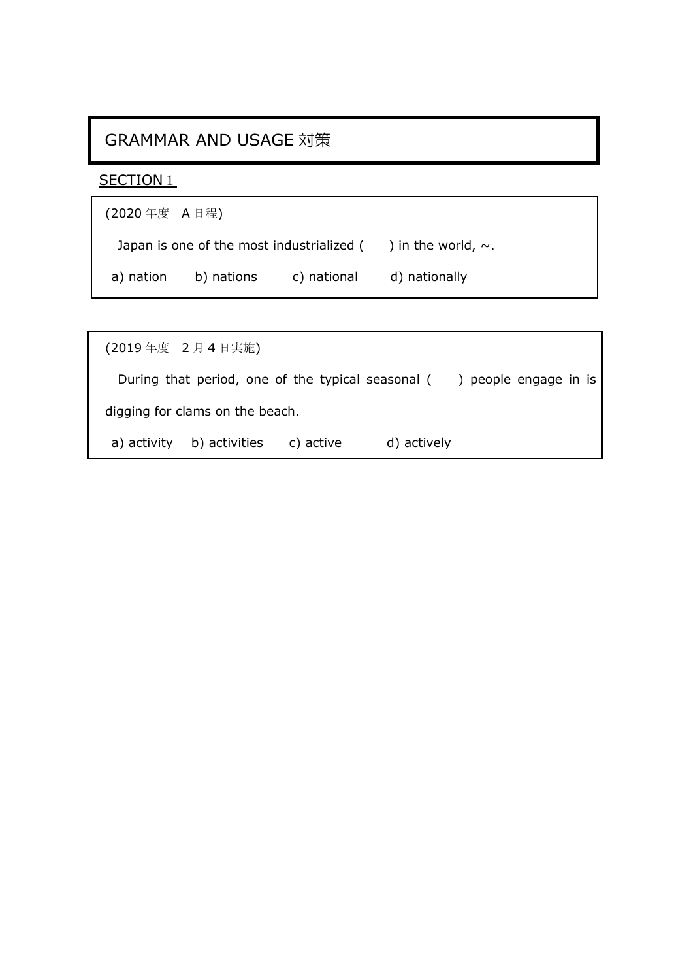# GRAMMAR AND USAGE 対策

SECTION<sub>1</sub>

| (2020年度 A 日程) |                                           |                          |
|---------------|-------------------------------------------|--------------------------|
|               | Japan is one of the most industrialized ( | ) in the world, $\sim$ . |

a) nation b) nations c) national d) nationally

|             | (2019年度 2月4日実施)                 |           |             |                                                                        |
|-------------|---------------------------------|-----------|-------------|------------------------------------------------------------------------|
|             |                                 |           |             | During that period, one of the typical seasonal () people engage in is |
|             | digging for clams on the beach. |           |             |                                                                        |
| a) activity | b) activities                   | c) active | d) actively |                                                                        |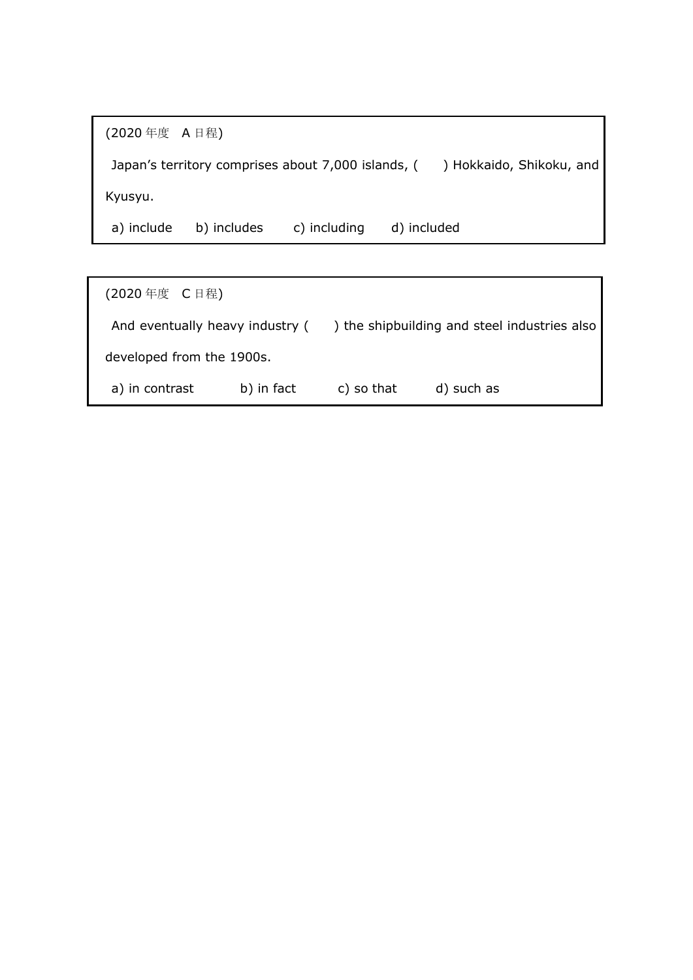| (2020年度 A 日程) |             |              |             |                                                                            |
|---------------|-------------|--------------|-------------|----------------------------------------------------------------------------|
|               |             |              |             | Japan's territory comprises about 7,000 islands, () Hokkaido, Shikoku, and |
| Kyusyu.       |             |              |             |                                                                            |
| a) include    | b) includes | c) including | d) included |                                                                            |

| (2020年度 C日程)              |            |            |                                                                                |
|---------------------------|------------|------------|--------------------------------------------------------------------------------|
|                           |            |            | And eventually heavy industry $($ ) the shipbuilding and steel industries also |
| developed from the 1900s. |            |            |                                                                                |
| a) in contrast            | b) in fact | c) so that | d) such as                                                                     |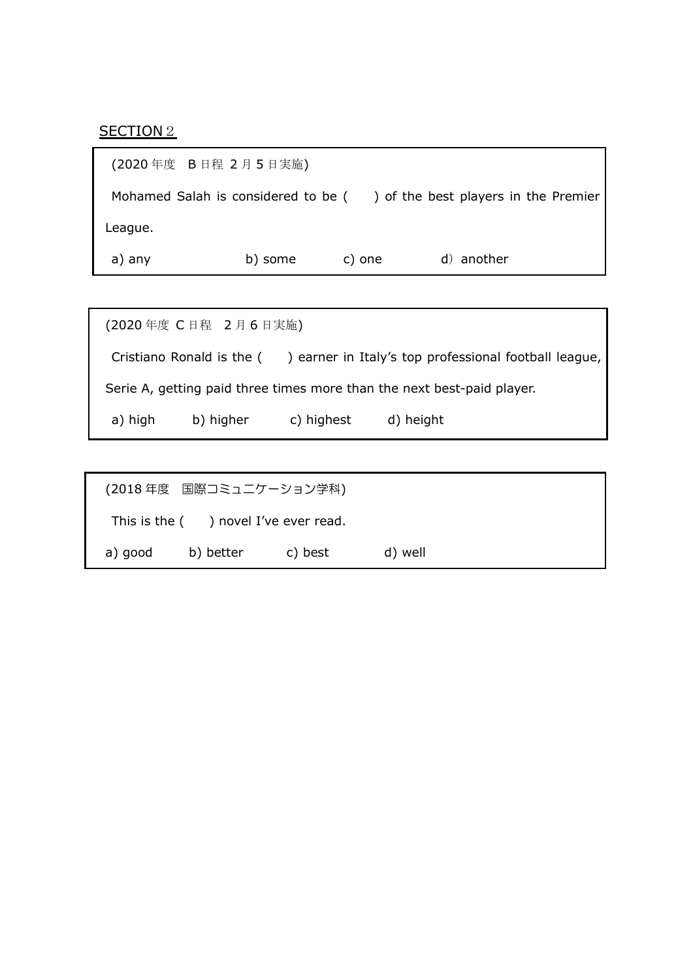### SECTION<sub>2</sub>

| (2020年度 B日程 2月5日実施) |         |        |                                                                            |
|---------------------|---------|--------|----------------------------------------------------------------------------|
|                     |         |        | Mohamed Salah is considered to be $($ ) of the best players in the Premier |
| League.             |         |        |                                                                            |
| a) any              | b) some | c) one | d) another                                                                 |

|                                                                        | (2020年度 C日程 2月6日実施) |            |                                                                                |
|------------------------------------------------------------------------|---------------------|------------|--------------------------------------------------------------------------------|
|                                                                        |                     |            | Cristiano Ronald is the () earner in Italy's top professional football league, |
| Serie A, getting paid three times more than the next best-paid player. |                     |            |                                                                                |
| a) high                                                                | b) higher           | c) highest | d) height                                                                      |

|         | (2018 年度 国際コミュニケーション学科)                 |         |         |  |
|---------|-----------------------------------------|---------|---------|--|
|         | This is the $($ ) novel I've ever read. |         |         |  |
| a) good | b) better                               | c) best | d) well |  |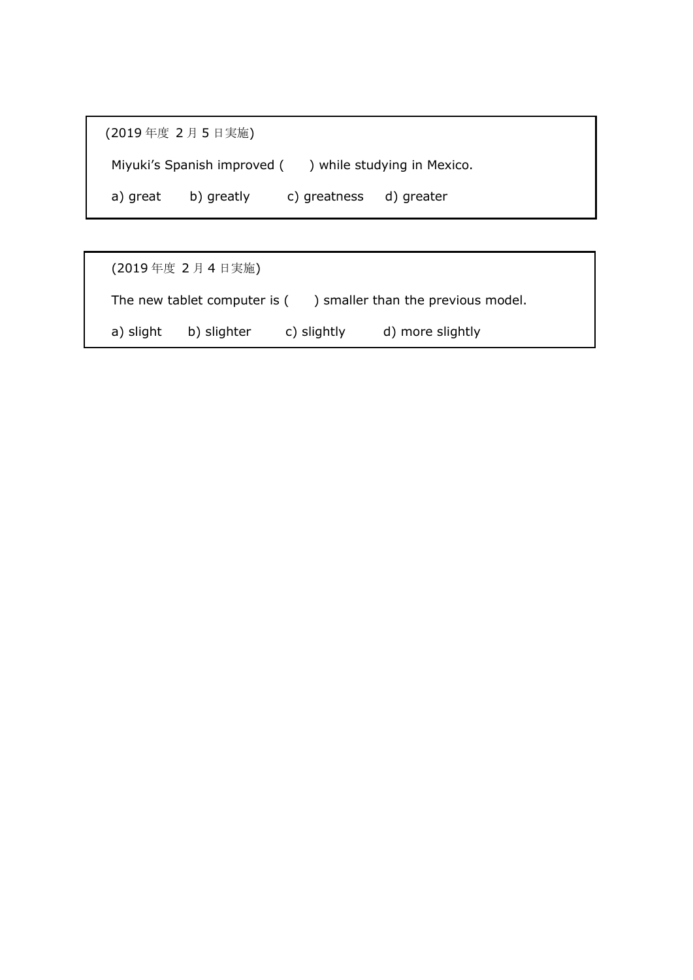|          | (2019年度 2月5日実施) |                         |                                                        |  |
|----------|-----------------|-------------------------|--------------------------------------------------------|--|
|          |                 |                         | Miyuki's Spanish improved () while studying in Mexico. |  |
| a) great | b) greatly      | c) greatness d) greater |                                                        |  |

|           | (2019年度 2月4日実施)              |             |                                    |  |
|-----------|------------------------------|-------------|------------------------------------|--|
|           | The new tablet computer is ( |             | ) smaller than the previous model. |  |
| a) slight | b) slighter                  | c) slightly | d) more slightly                   |  |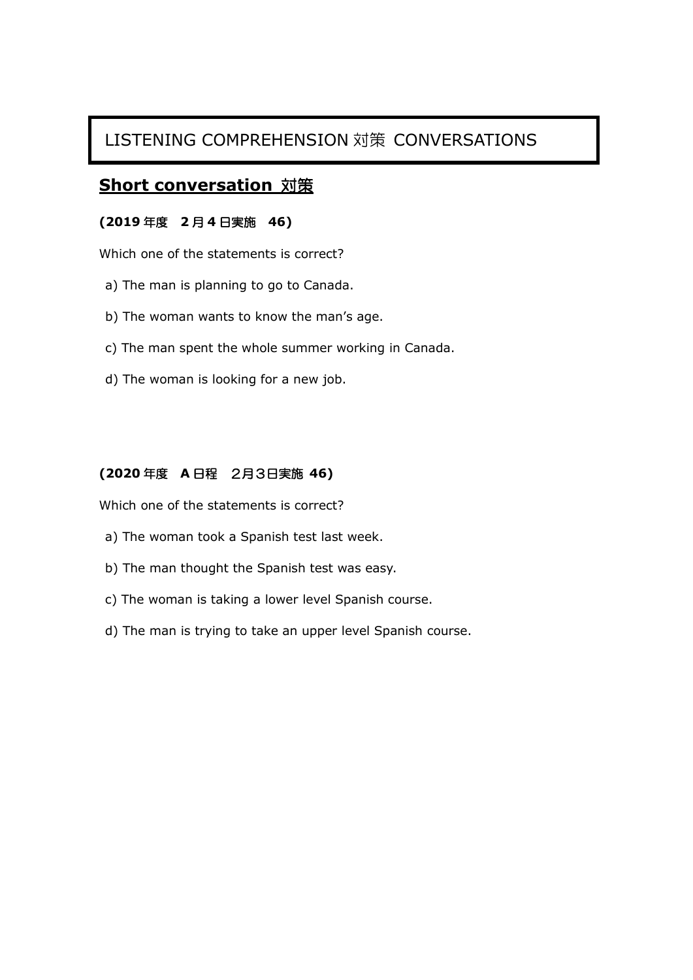## LISTENING COMPREHENSION 対策 CONVERSATIONS

### **Short conversation** 対策

#### **(2019** 年度 **2** 月 **4** 日実施 **46)**

Which one of the statements is correct?

- a) The man is planning to go to Canada.
- b) The woman wants to know the man's age.
- c) The man spent the whole summer working in Canada.
- d) The woman is looking for a new job.

### **(2020** 年度 **A** 日程 2月3日実施 **46)**

Which one of the statements is correct?

- a) The woman took a Spanish test last week.
- b) The man thought the Spanish test was easy.
- c) The woman is taking a lower level Spanish course.
- d) The man is trying to take an upper level Spanish course.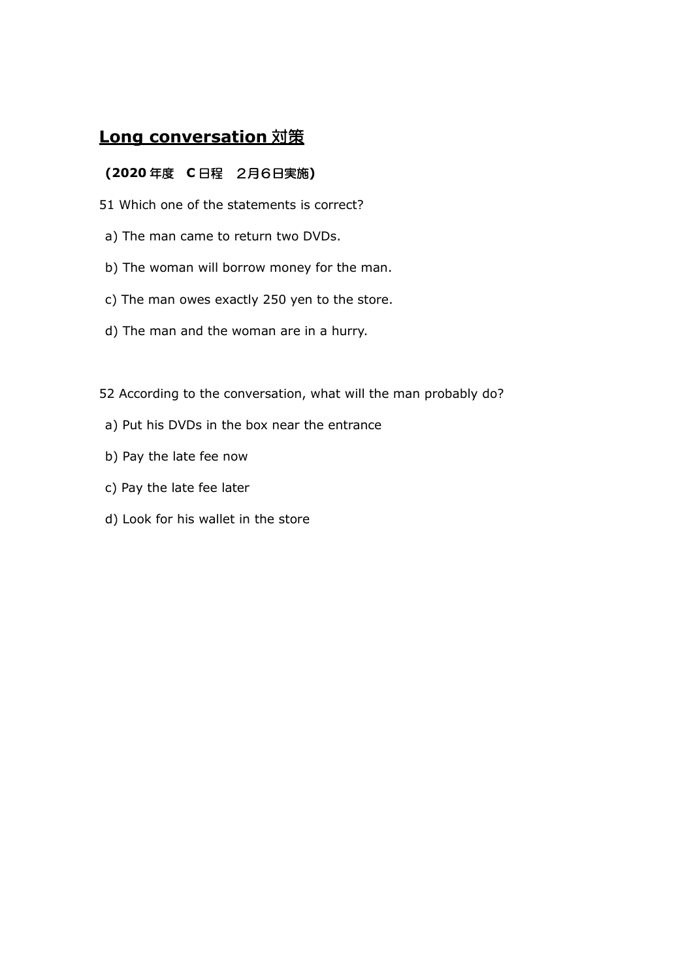### **Long conversation** 対策

### **(2020** 年度 **C** 日程 2月6日実施**)**

- 51 Which one of the statements is correct?
- a) The man came to return two DVDs.
- b) The woman will borrow money for the man.
- c) The man owes exactly 250 yen to the store.
- d) The man and the woman are in a hurry.
- 52 According to the conversation, what will the man probably do?
- a) Put his DVDs in the box near the entrance
- b) Pay the late fee now
- c) Pay the late fee later
- d) Look for his wallet in the store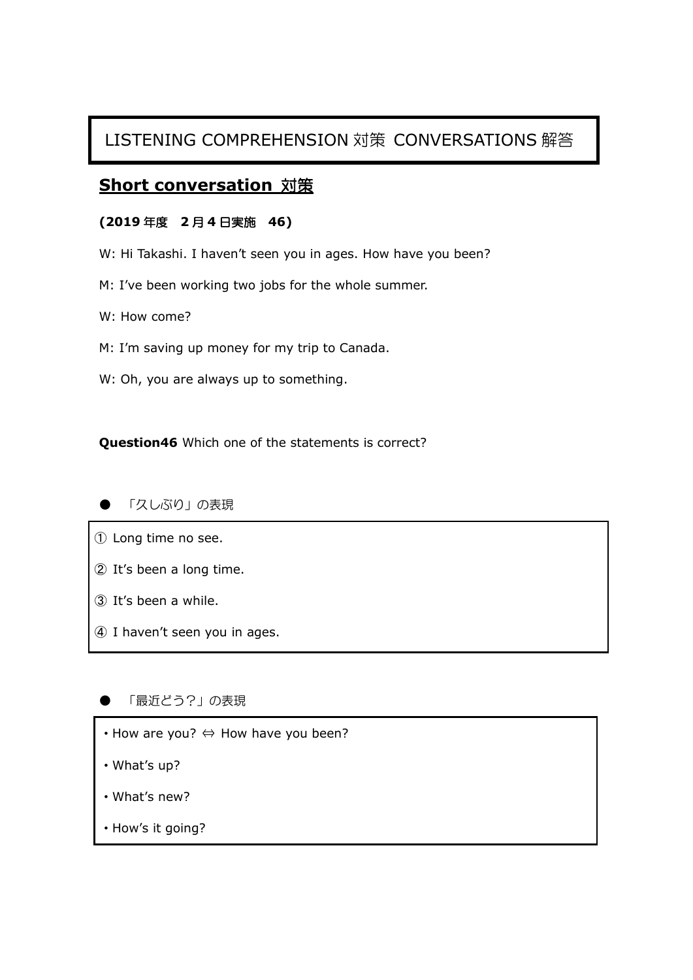## LISTENING COMPREHENSION 対策 CONVERSATIONS 解答

### **Short conversation** 対策

### **(2019** 年度 **2** 月 **4** 日実施 **46)**

- W: Hi Takashi. I haven't seen you in ages. How have you been?
- M: I've been working two jobs for the whole summer.
- W: How come?
- M: I'm saving up money for my trip to Canada.
- W: Oh, you are always up to something.

**Question46** Which one of the statements is correct?

### ● 「久しぶり」の表現

- ① Long time no see.
- ② It's been a long time.
- ③ It's been a while.
- ④ I haven't seen you in ages.

### 「最近どう?」の表現

- ・How are you? ⇔ How have you been?
- ・What's up?
- ・What's new?
- ・How's it going?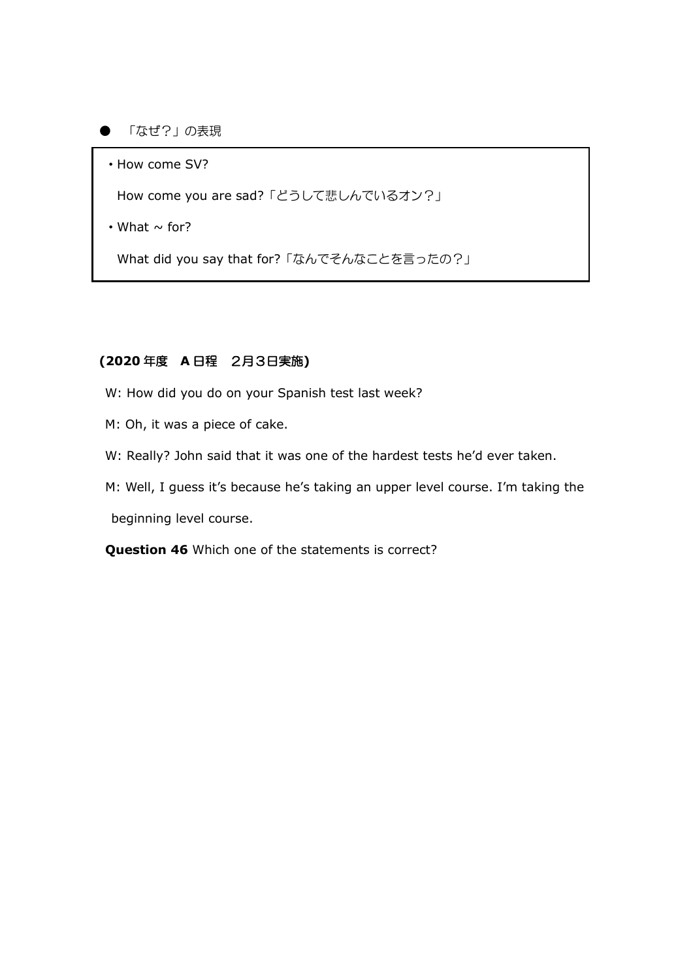#### 「なぜ?」の表現

#### ・How come SV?

How come you are sad?「どうして悲しんでいるオン?」

 $\cdot$  What  $\sim$  for?

What did you say that for?「なんでそんなことを言ったの?」

#### **(2020** 年度 **A** 日程 2月3日実施**)**

W: How did you do on your Spanish test last week?

- M: Oh, it was a piece of cake.
- W: Really? John said that it was one of the hardest tests he'd ever taken.
- M: Well, I guess it's because he's taking an upper level course. I'm taking the

beginning level course.

**Question 46** Which one of the statements is correct?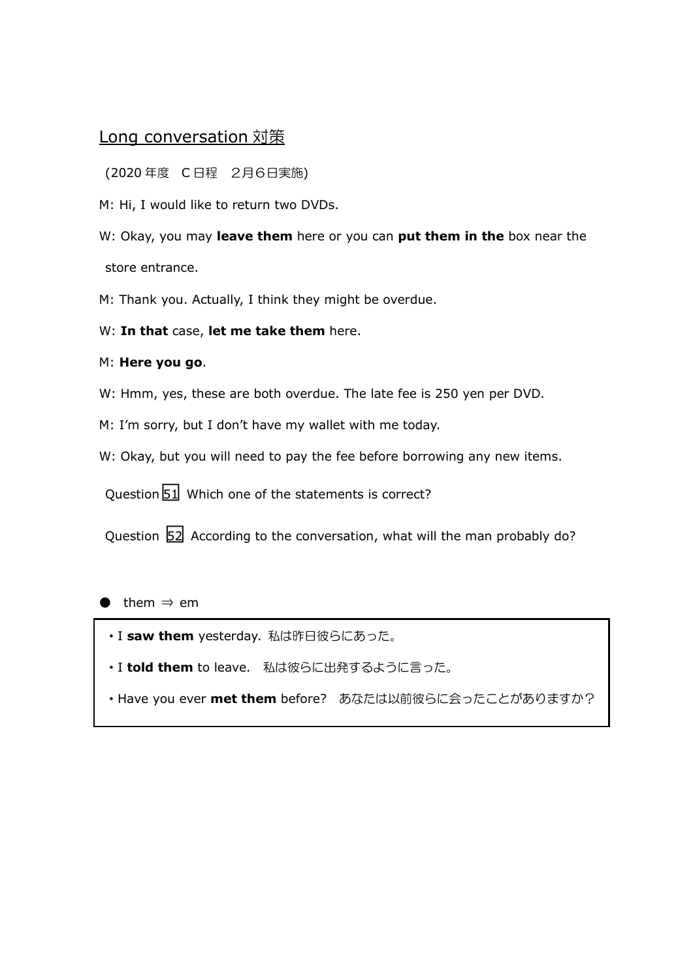### Long conversation 対策

(2020 年度 C 日程 2月6日実施)

M: Hi, I would like to return two DVDs.

W: Okay, you may **leave them** here or you can **put them in the** box near the store entrance.

M: Thank you. Actually, I think they might be overdue.

W: **In that** case, **let me take them** here.

#### M: **Here you go**.

W: Hmm, yes, these are both overdue. The late fee is 250 yen per DVD.

M: I'm sorry, but I don't have my wallet with me today.

W: Okay, but you will need to pay the fee before borrowing any new items.

Question  $51$  Which one of the statements is correct?

Question  $52$  According to the conversation, what will the man probably do?

them  $\Rightarrow$  em

- ・I **saw them** yesterday. 私は昨日彼らにあった。
- ・I **told them** to leave. 私は彼らに出発するように言った。
- ・Have you ever **met them** before? あなたは以前彼らに会ったことがありますか?